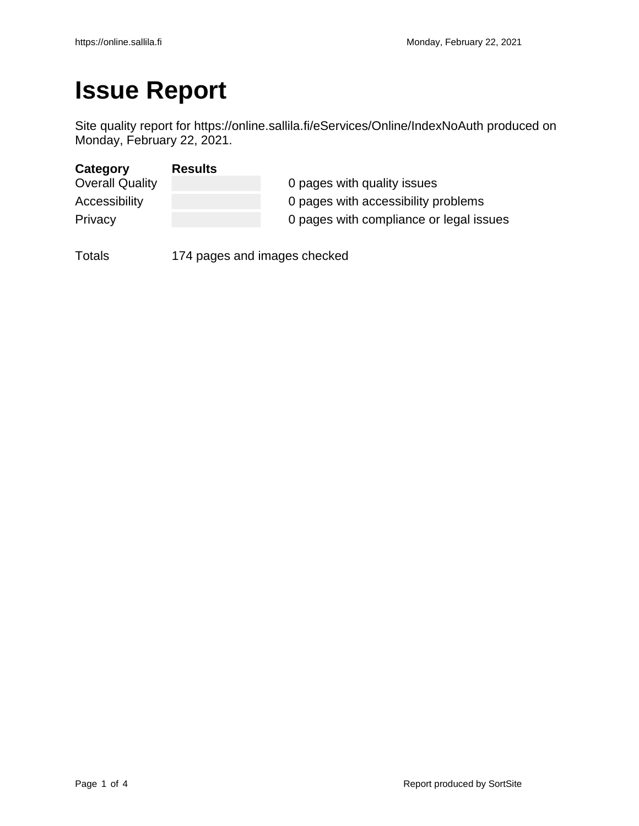# **Issue Report**

Site quality report for https://online.sallila.fi/eServices/Online/IndexNoAuth produced on Monday, February 22, 2021.

| Category               | <b>Results</b> |                                         |
|------------------------|----------------|-----------------------------------------|
| <b>Overall Quality</b> |                | 0 pages with quality issues             |
| Accessibility          |                | 0 pages with accessibility problems     |
| Privacy                |                | 0 pages with compliance or legal issues |

Totals 174 pages and images checked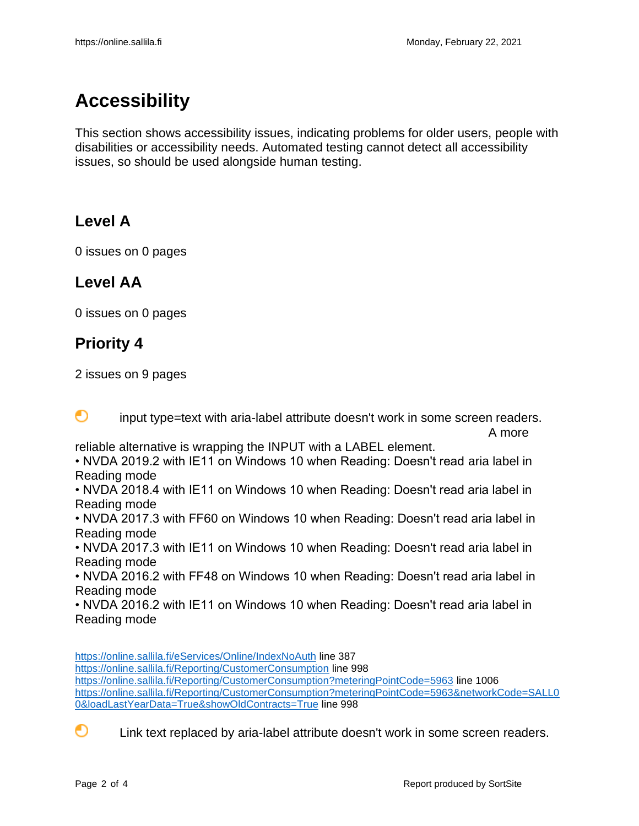## **Accessibility**

This section shows accessibility issues, indicating problems for older users, people with disabilities or accessibility needs. Automated testing cannot detect all accessibility issues, so should be used alongside human testing.

#### **Level A**

0 issues on 0 pages

#### **Level AA**

0 issues on 0 pages

#### **Priority 4**

2 issues on 9 pages

∩ input type=text with aria-label attribute doesn't work in some screen readers. A more

reliable alternative is wrapping the INPUT with a LABEL element.

• NVDA 2019.2 with IE11 on Windows 10 when Reading: Doesn't read aria label in Reading mode

• NVDA 2018.4 with IE11 on Windows 10 when Reading: Doesn't read aria label in Reading mode

• NVDA 2017.3 with FF60 on Windows 10 when Reading: Doesn't read aria label in Reading mode

• NVDA 2017.3 with IE11 on Windows 10 when Reading: Doesn't read aria label in Reading mode

• NVDA 2016.2 with FF48 on Windows 10 when Reading: Doesn't read aria label in Reading mode

• NVDA 2016.2 with IE11 on Windows 10 when Reading: Doesn't read aria label in Reading mode

<https://online.sallila.fi/eServices/Online/IndexNoAuth> line 387 <https://online.sallila.fi/Reporting/CustomerConsumption> line 998 <https://online.sallila.fi/Reporting/CustomerConsumption?meteringPointCode=5963> line 1006 [https://online.sallila.fi/Reporting/CustomerConsumption?meteringPointCode=5963&networkCode=SALL0](https://online.sallila.fi/Reporting/CustomerConsumption?meteringPointCode=5963&networkCode=SALL00&loadLastYearData=True&showOldContracts=True) [0&loadLastYearData=True&showOldContracts=True](https://online.sallila.fi/Reporting/CustomerConsumption?meteringPointCode=5963&networkCode=SALL00&loadLastYearData=True&showOldContracts=True) line 998



Link text replaced by aria-label attribute doesn't work in some screen readers.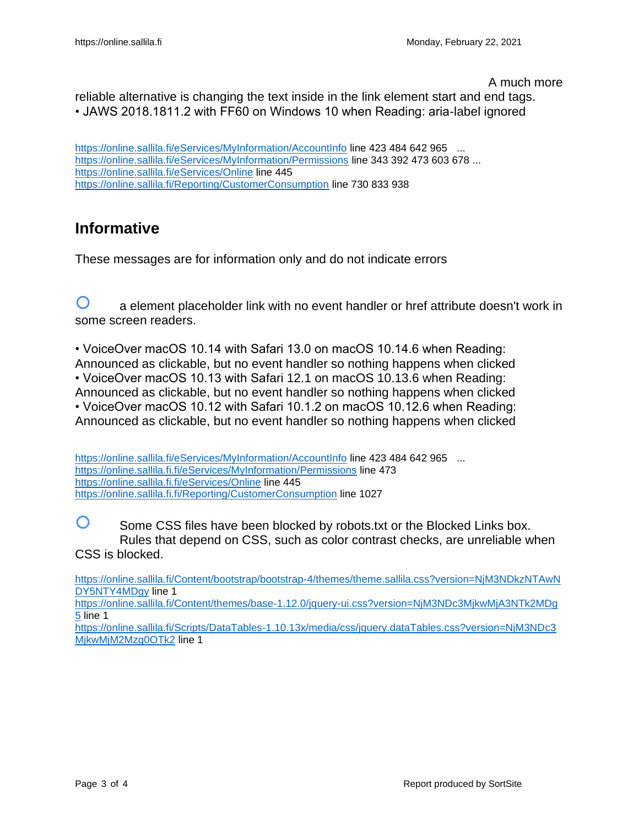A much more

reliable alternative is changing the text inside in the link element start and end tags. • JAWS 2018.1811.2 with FF60 on Windows 10 when Reading: aria-label ignored

<https://online.sallila.fi/eServices/MyInformation/AccountInfo> line 423 484 642 965 ... <https://online.sallila.fi/eServices/MyInformation/Permissions> line 343 392 473 603 678 ... <https://online.sallila.fi/eServices/Online> line 445 <https://online.sallila.fi/Reporting/CustomerConsumption> line 730 833 938

#### **Informative**

These messages are for information only and do not indicate errors

∩ a element placeholder link with no event handler or href attribute doesn't work in some screen readers.

• VoiceOver macOS 10.14 with Safari 13.0 on macOS 10.14.6 when Reading: Announced as clickable, but no event handler so nothing happens when clicked • VoiceOver macOS 10.13 with Safari 12.1 on macOS 10.13.6 when Reading: Announced as clickable, but no event handler so nothing happens when clicked • VoiceOver macOS 10.12 with Safari 10.1.2 on macOS 10.12.6 when Reading: Announced as clickable, but no event handler so nothing happens when clicked

<https://online.sallila.fi/eServices/MyInformation/AccountInfo> line 423 484 642 965 ... <https://online.sallila.fi.fi/eServices/MyInformation/Permissions> line 473 <https://online.sallila.fi.fi/eServices/Online> line 445 <https://online.sallila.fi.fi/Reporting/CustomerConsumption> line 1027

O Some CSS files have been blocked by robots.txt or the Blocked Links box. Rules that depend on CSS, such as color contrast checks, are unreliable when CSS is blocked.

[https://online.sallila.fi/Content/bootstrap/bootstrap-4/themes/theme.sallila.css?version=NjM3NDkzNTAwN](https://online.sallila.fi/Content/bootstrap/bootstrap-4/themes/theme.sallila.css?version=NjM3NDkzNTAwNDY5NTY4MDgy) [DY5NTY4MDgy](https://online.sallila.fi/Content/bootstrap/bootstrap-4/themes/theme.sallila.css?version=NjM3NDkzNTAwNDY5NTY4MDgy) line 1

[https://online.sallila.fi/Content/themes/base-1.12.0/jquery-ui.css?version=NjM3NDc3MjkwMjA3NTk2MDg](https://online.sallila.fi/Content/themes/base-1.12.0/jquery-ui.css?version=NjM3NDc3MjkwMjA3NTk2MDg5) [5](https://online.sallila.fi/Content/themes/base-1.12.0/jquery-ui.css?version=NjM3NDc3MjkwMjA3NTk2MDg5) line 1

[https://online.sallila.fi/Scripts/DataTables-1.10.13x/media/css/jquery.dataTables.css?version=NjM3NDc3](https://online.sallila.fi/Scripts/DataTables-1.10.13x/media/css/jquery.dataTables.css?version=NjM3NDc3MjkwMjM2Mzg0OTk2) [MjkwMjM2Mzg0OTk2](https://online.sallila.fi/Scripts/DataTables-1.10.13x/media/css/jquery.dataTables.css?version=NjM3NDc3MjkwMjM2Mzg0OTk2) line 1